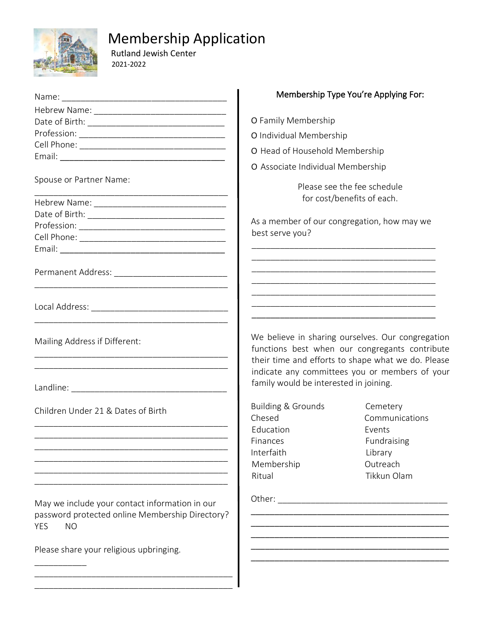

\_\_\_\_\_\_\_\_\_\_\_

## Membership Application

 Rutland Jewish Center 2021-2022

|                                                                                                                              |                                                                                          | Membership Type You're Applying For:                                                                                                                      |  |
|------------------------------------------------------------------------------------------------------------------------------|------------------------------------------------------------------------------------------|-----------------------------------------------------------------------------------------------------------------------------------------------------------|--|
|                                                                                                                              |                                                                                          |                                                                                                                                                           |  |
|                                                                                                                              | O Family Membership                                                                      |                                                                                                                                                           |  |
|                                                                                                                              | O Individual Membership                                                                  |                                                                                                                                                           |  |
|                                                                                                                              | O Head of Household Membership                                                           |                                                                                                                                                           |  |
|                                                                                                                              |                                                                                          |                                                                                                                                                           |  |
|                                                                                                                              | O Associate Individual Membership                                                        |                                                                                                                                                           |  |
| Spouse or Partner Name:                                                                                                      | Please see the fee schedule<br>for cost/benefits of each.                                |                                                                                                                                                           |  |
|                                                                                                                              |                                                                                          |                                                                                                                                                           |  |
|                                                                                                                              | As a member of our congregation, how may we                                              |                                                                                                                                                           |  |
|                                                                                                                              | best serve you?                                                                          |                                                                                                                                                           |  |
|                                                                                                                              |                                                                                          |                                                                                                                                                           |  |
|                                                                                                                              |                                                                                          |                                                                                                                                                           |  |
|                                                                                                                              |                                                                                          | <u> 1989 - Johann Stoff, deutscher Stoff, der Stoff, der Stoff, der Stoff, der Stoff, der Stoff, der Stoff, der S</u>                                     |  |
|                                                                                                                              |                                                                                          |                                                                                                                                                           |  |
|                                                                                                                              |                                                                                          |                                                                                                                                                           |  |
|                                                                                                                              |                                                                                          |                                                                                                                                                           |  |
| Mailing Address if Different:                                                                                                |                                                                                          | We believe in sharing ourselves. Our congregation<br>functions best when our congregants contribute<br>their time and efforts to shape what we do. Please |  |
|                                                                                                                              | indicate any committees you or members of your<br>family would be interested in joining. |                                                                                                                                                           |  |
| Children Under 21 & Dates of Birth                                                                                           | <b>Building &amp; Grounds</b><br>Chesed                                                  | Cemetery<br>Communications                                                                                                                                |  |
|                                                                                                                              | Education                                                                                | Events                                                                                                                                                    |  |
|                                                                                                                              | Finances                                                                                 | Fundraising                                                                                                                                               |  |
|                                                                                                                              | Interfaith                                                                               | Library                                                                                                                                                   |  |
|                                                                                                                              | Membership<br>Ritual                                                                     | Outreach<br>Tikkun Olam                                                                                                                                   |  |
|                                                                                                                              |                                                                                          |                                                                                                                                                           |  |
| May we include your contact information in our<br>password protected online Membership Directory?<br><b>YES</b><br><b>NO</b> |                                                                                          |                                                                                                                                                           |  |
| Please share your religious upbringing.                                                                                      |                                                                                          |                                                                                                                                                           |  |

\_\_\_\_\_\_\_\_\_\_\_\_\_\_\_\_\_\_\_\_\_\_\_\_\_\_\_\_\_\_\_\_\_\_\_\_\_\_\_\_\_\_ \_\_\_\_\_\_\_\_\_\_\_\_\_\_\_\_\_\_\_\_\_\_\_\_\_\_\_\_\_\_\_\_\_\_\_\_\_\_\_\_\_\_

## Membership Type You're Applying For: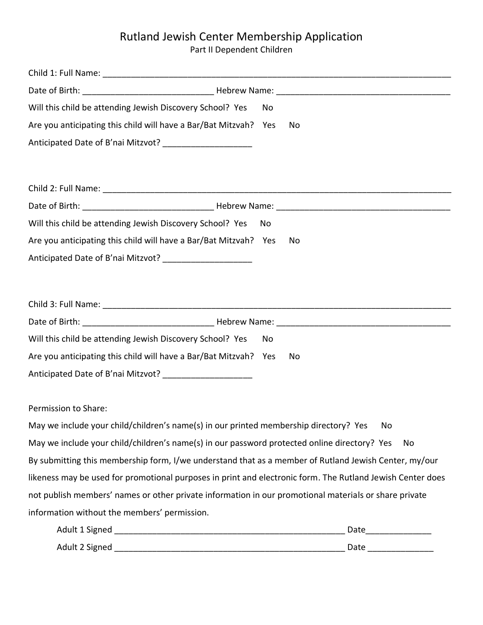## Rutland Jewish Center Membership Application

Part II Dependent Children

| Will this child be attending Jewish Discovery School? Yes                                                  | No  |      |
|------------------------------------------------------------------------------------------------------------|-----|------|
| Are you anticipating this child will have a Bar/Bat Mitzvah? Yes                                           |     | No   |
| Anticipated Date of B'nai Mitzvot? _______________________                                                 |     |      |
|                                                                                                            |     |      |
|                                                                                                            |     |      |
|                                                                                                            |     |      |
| Will this child be attending Jewish Discovery School? Yes                                                  | No. |      |
| Are you anticipating this child will have a Bar/Bat Mitzvah? Yes                                           |     | No   |
| Anticipated Date of B'nai Mitzvot? _____________________                                                   |     |      |
|                                                                                                            |     |      |
|                                                                                                            |     |      |
|                                                                                                            |     |      |
| Will this child be attending Jewish Discovery School? Yes                                                  | No  |      |
| Are you anticipating this child will have a Bar/Bat Mitzvah? Yes                                           |     | No   |
| Anticipated Date of B'nai Mitzvot? _______________________                                                 |     |      |
| Permission to Share:                                                                                       |     |      |
| May we include your child/children's name(s) in our printed membership directory? Yes                      |     |      |
|                                                                                                            |     | No   |
| May we include your child/children's name(s) in our password protected online directory? Yes               |     | No   |
| By submitting this membership form, I/we understand that as a member of Rutland Jewish Center, my/our      |     |      |
| likeness may be used for promotional purposes in print and electronic form. The Rutland Jewish Center does |     |      |
| not publish members' names or other private information in our promotional materials or share private      |     |      |
| information without the members' permission.                                                               |     |      |
| Adult 1 Signed                                                                                             |     | Date |

| Adult 2 Signed | Date |
|----------------|------|
|----------------|------|